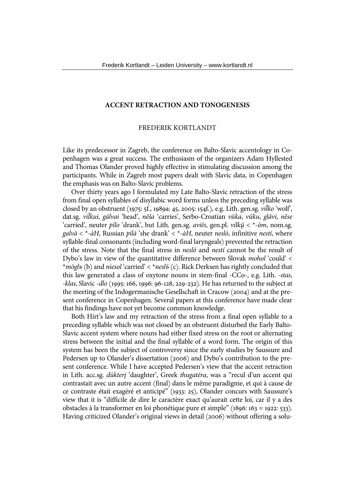### **ACCENT RETRACTION AND TONOGENESIS**

# FREDERIK KORTLANDT

Like its predecessor in Zagreb, the conference on Balto-Slavic accentology in Copenhagen was a great success. The enthusiasm of the organizers Adam Hyllested and Thomas Olander proved highly effective in stimulating discussion among the participants. While in Zagreb most papers dealt with Slavic data, in Copenhagen the emphasis was on Balto-Slavic problems.

Over thirty years ago I formulated my Late Balto-Slavic retraction of the stress from final open syllables of disyllabic word forms unless the preceding syllable was closed by an obstruent (1975: 5f., 1989a: 45, 2005: 154f.), e.g. Lith. gen.sg. *vil̃ko* 'wolf', dat.sg. *vil̃kui*, *gálvai* 'head', *nẽša* 'carries', Serbo-Croatian *vȗka*, *vȗku*, *glȃvi*, *nȅse* 'carried', neuter *pȋlo* 'drank', but Lith. gen.sg. *aviẽs*, gen.pl. *vilkų̃* < \*-*òm*, nom.sg. *galvà* < \*-*àH*, Russian *pilá* 'she drank' < \*-*àH*, neuter *nesló*, infinitive *nestí*, where syllable-final consonants (including word-final laryngeals) prevented the retraction of the stress. Note that the final stress in *nesló* and *nestí* cannot be the result of Dybo's law in view of the quantitative difference between Slovak *mohol* 'could' < \**mòglъ* (b) and *niesol* 'carried' < \**neslъ̀* (c). Rick Derksen has rightly concluded that this law generated a class of oxytone nouns in stem-final -CCo-, e.g. Lith. *-stas*, *-klas*, Slavic *-dlo* (1995: 166, 1996: 96-128, 229-232). He has returned to the subject at the meeting of the Indogermanische Gesellschaft in Cracow (2004) and at the present conference in Copenhagen. Several papers at this conference have made clear that his findings have not yet become common knowledge.

Both Hirt's law and my retraction of the stress from a final open syllable to a preceding syllable which was not closed by an obstruent disturbed the Early Balto-Slavic accent system where nouns had either fixed stress on the root or alternating stress between the initial and the final syllable of a word form. The origin of this system has been the subject of controversy since the early studies by Saussure and Pedersen up to Olander's dissertation (2006) and Dybo's contribution to the present conference. While I have accepted Pedersen's view that the accent retraction in Lith. acc.sg. *dùkterį* 'daughter', Greek *thugatéra*, was a "recul d'un accent qui contrastait avec un autre accent (final) dans le même paradigme, et qui à cause de ce contraste était exagéré et anticipé" (1933: 25), Olander concurs with Saussure's view that it is "difficile de dire le caractère exact qu'aurait cette loi, car il y a des obstacles à la transformer en loi phonétique pure et simple" (1896: 163 = 1922: 533). Having criticized Olander's original views in detail (2006) without offering a solu-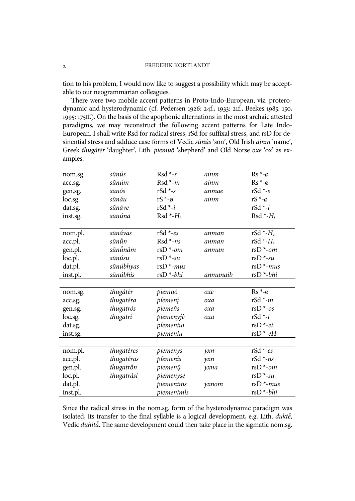tion to his problem, I would now like to suggest a possibility which may be acceptable to our neogrammarian colleagues.

There were two mobile accent patterns in Proto-Indo-European, viz. proterodynamic and hysterodynamic (cf. Pedersen 1926: 24f., 1933: 21f., Beekes 1985: 150, 1995: 175ff.). On the basis of the apophonic alternations in the most archaic attested paradigms, we may reconstruct the following accent patterns for Late Indo-European. I shall write Rsd for radical stress, rSd for suffixal stress, and rsD for desinential stress and adduce case forms of Vedic *sūnús* 'son', Old Irish *ainm* 'name', Greek *thugátēr* 'daughter', Lith. *piemuõ* 'shepherd' and Old Norse *oxe* 'ox' as examples.

| nom.sg.  | sūnús       | $Rsd *_{-S}$         | ainm         | $Rs^*$ - $\varnothing$    |
|----------|-------------|----------------------|--------------|---------------------------|
| acc.sg.  | sūnúm       | $Rsd *_{-m}$         | ainm         | $Rs^*$ - $\varnothing$    |
| gen.sg.  | sūnós       | $rSd *_{s} s$        | anmae        | $rSd *_{s} s$             |
| loc.sg.  | sūnáu       | $rS^*$ - $\emptyset$ | ainm         | $rS^*$ - $\emptyset$      |
| dat.sg.  | sūnáve      | $rSd - i$            |              | $rSd - i$                 |
| inst.sg. | sūnúnā      | $Rsd * H_1$          |              | $Rsd * H_1$               |
|          |             |                      |              |                           |
| nom.pl.  | sūnávas     | $rSd$ *-es           | anman        | rSd $\ast$ - $H_{2}$      |
| acc.pl.  | sūnū́n      | $Rsd * ns$           | anman        | rSd *- $H_2$              |
| gen.pl.  | รนิทนิ้ทฉิт | $rsD *$ -om          | anman        | $rsD *$ -om               |
| loc.pl.  | sūnúṣu      | $rsD*-su$            |              | $r\text{sD}$ *-su         |
| dat.pl.  | sūnúbhyas   | $rsD * -mus$         |              | $r\text{sD}$ *- $mus$     |
| inst.pl. | sūnúbhis    | $r\text{sD}^*$ -bhi  | anmanaib     | $r\text{sD} * bhi$        |
|          |             |                      |              |                           |
| nom.sg.  | thugátēr    | piemuõ               | oxe          | $Rs^*$ - $\varnothing$    |
| acc.sg.  | thugatéra   | píemenį              | oxa          | rSd *- $m$                |
| gen.sg.  | thugatrós   | piemeñs              | oxa          | $rSD * -os$               |
| loc.sg.  | thugatrí    | piemenyjè            | oxa          | $rSd - i$                 |
| dat.sg.  |             | píemeniui            |              | $r\text{sD}$ *-ei         |
| inst.sg. |             | píemeniu             |              | rsD $^*$ -eH <sub>1</sub> |
|          |             |                      |              |                           |
| nom.pl.  | thugatéres  | piemenys             | $\gamma x n$ | $rSd *_{es}$              |
| acc.pl.  | thugatéras  | píemenis             | $\gamma x n$ | $rSd *_{ns}$              |
| gen.pl.  | thugatrỗn   | piemenų              | yxna         | $r\text{sD}$ *-om         |
| loc.pl.  | thugatrási  | piemenysè            |              | $r\mathsf{s}D^*$ -su      |
| dat.pl.  |             | piemenims            | yxnom        | $rsD * -mus$              |
| inst.pl. |             | piemenimìs           |              | $r\text{sD} * bhi$        |

Since the radical stress in the nom.sg. form of the hysterodynamic paradigm was isolated, its transfer to the final syllable is a logical development, e.g. Lith. *duktė̃*, Vedic *duhitā́*. The same development could then take place in the sigmatic nom.sg.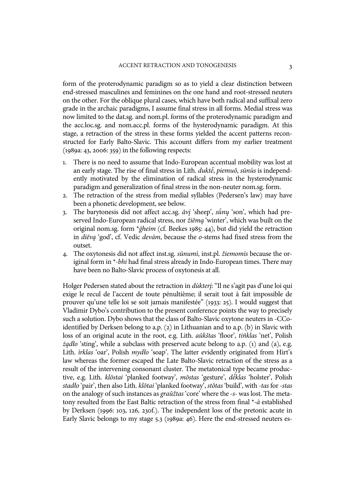form of the proterodynamic paradigm so as to yield a clear distinction between end-stressed masculines and feminines on the one hand and root-stressed neuters on the other. For the oblique plural cases, which have both radical and suffixal zero grade in the archaic paradigms, I assume final stress in all forms. Medial stress was now limited to the dat.sg. and nom.pl. forms of the proterodynamic paradigm and the acc.loc.sg. and nom.acc.pl. forms of the hysterodynamic paradigm. At this stage, a retraction of the stress in these forms yielded the accent patterns reconstructed for Early Balto-Slavic. This account differs from my earlier treatment (1989a: 43, 2006: 359) in the following respects:

- 1. There is no need to assume that Indo-European accentual mobility was lost at an early stage. The rise of final stress in Lith. *duktė̃*, *piemuõ*, *sūnùs* is independently motivated by the elimination of radical stress in the hysterodynamic paradigm and generalization of final stress in the non-neuter nom.sg. form.
- 2. The retraction of the stress from medial syllables (Pedersen's law) may have been a phonetic development, see below.
- 3. The barytonesis did not affect acc.sg. *ãvį* 'sheep', *sū́nų* 'son', which had preserved Indo-European radical stress, nor *žiẽmą* 'winter', which was built on the original nom.sg. form \**ǵheim* (cf. Beekes 1985: 44), but did yield the retraction in *diẽvą* 'god', cf. Vedic *devám*, because the *o-*stems had fixed stress from the outset.
- 4. The oxytonesis did not affect inst.sg. *sūnumì*, inst.pl. *žiemomìs* because the original form in \**-bhi* had final stress already in Indo-European times. There may have been no Balto-Slavic process of oxytonesis at all.

Holger Pedersen stated about the retraction in *dùkterį*: "Il ne s'agit pas d'une loi qui exige le recul de l'accent de toute pénultième; il serait tout à fait impossible de prouver qu'une telle loi se soit jamais manifestée" (1933: 25). I would suggest that Vladimir Dybo's contribution to the present conference points the way to precisely such a solution. Dybo shows that the class of Balto-Slavic oxytone neuters in -CCoidentified by Derksen belong to a.p. (2) in Lithuanian and to a.p. (b) in Slavic with loss of an original acute in the root, e.g. Lith. *aũkštas* 'floor', *tiñklas* 'net', Polish *żądło* 'sting', while a subclass with preserved acute belong to a.p. (1) and (a), e.g. Lith. *ìrklas* 'oar', Polish *mydło* 'soap'. The latter evidently originated from Hirt's law whereas the former escaped the Late Balto-Slavic retraction of the stress as a result of the intervening consonant cluster. The metatonical type became productive, e.g. Lith. *klõstai* 'planked footway', *mõstas* 'gesture', *dė̃klas* 'holster', Polish *stadło* 'pair', then also Lith. *klõtai* 'planked footway', *stõtas* 'build', with *-tas* for *-stas* on the analogy of such instances as *graũžtas* 'core' where the *-s-* was lost. The metatony resulted from the East Baltic retraction of the stress from final \**-à* established by Derksen (1996: 103, 126, 230f.). The independent loss of the pretonic acute in Early Slavic belongs to my stage 5.3 (1989a: 46). Here the end-stressed neuters es-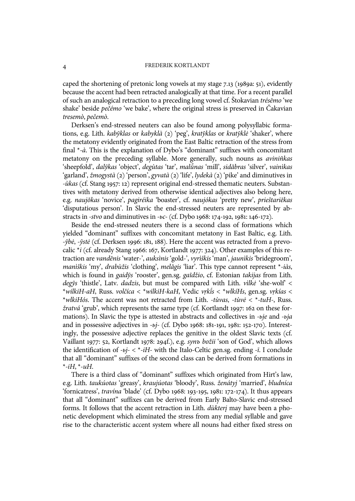caped the shortening of pretonic long vowels at my stage 7.13 (1989a: 51), evidently because the accent had been retracted analogically at that time. For a recent parallel of such an analogical retraction to a preceding long vowel cf. Štokavian *trésēmo* 'we shake' beside *pečémo* 'we bake', where the original stress is preserved in Čakavian *tresemò*, *pečemò*.

Derksen's end-stressed neuters can also be found among polysyllabic formations, e.g. Lith. *kabỹklas* or *kabyklà* (2) 'peg', *kratỹklas* or *kratỹklė* 'shaker', where the metatony evidently originated from the East Baltic retraction of the stress from final \**-à*. This is the explanation of Dybo's "dominant" suffixes with concomitant metatony on the preceding syllable. More generally, such nouns as *aviniñkas* 'sheepfold', *dalỹkas* 'object', *degùtas* 'tar', *malū̃nas* 'mill', *sidãbras* 'silver', *vainìkas* 'garland', *žmogystà* (2) 'person', *gyvatà* (2) 'life', *lydekà* (2) 'pike' and diminutives in *-ùkas* (cf. Stang 1957: 12) represent original end-stressed thematic neuters. Substantives with metatony derived from otherwise identical adjectives also belong here, e.g. *naujõkas* 'novice', *pagiréika* 'boaster', cf. *naujókas* 'pretty new', *prieštariẽkas* 'disputatious person'. In Slavic the end-stressed neuters are represented by abstracts in *-stvo* and diminutives in *-ьc-* (cf. Dybo 1968: 174-192, 1981: 146-172).

Beside the end-stressed neuters there is a second class of formations which yielded "dominant" suffixes with concomitant metatony in East Baltic, e.g. Lith. *-ỹbė*, *-ỹstė* (cf. Derksen 1996: 181, 188). Here the accent was retracted from a prevocalic \**i* (cf. already Stang 1966: 167, Kortlandt 1977: 324). Other examples of this retraction are *vandẽnis* 'water-', *auksìnis* 'gold-', *vyrìškis* 'man', *jaunìkis* 'bridegroom', *manìškis* 'my', *drabùžis* 'clothing', *melãgis* 'liar'. This type cannot represent \**-iàs*, which is found in *gaidỹs* 'rooster', gen.sg. *gaĩdžio*, cf. Estonian *takijas* from Lith. *degỹs* 'thistle', Latv. *dadzis*, but must be compared with Lith. *vìlkė* 'she-wolf' < \**wilkiH-aH*, Russ. *volčíca* < \**wilkiH-kaH*, Vedic *vṛkī́s* < \**wlkíHs*, gen.sg. *vṛkías* < \**wlkiHós*. The accent was not retracted from Lith. *-tùvas*, *-tùvė* < \**-tuH-*, Russ. *žratvá* 'grub', which represents the same type (cf. Kortlandt 1997: 162 on these formations). In Slavic the type is attested in abstracts and collectives in *-ьje* and *-ьja* and in possessive adjectives in *-ьj-* (cf. Dybo 1968: 181-191, 1981: 152-170). Interestingly, the possessive adjective replaces the genitive in the oldest Slavic texts (cf. Vaillant 1977: 52, Kortlandt 1978: 294f.), e.g. *synъ božii* 'son of God', which allows the identification of *-ьj-* < \**-iH-* with the Italo-Celtic gen.sg. ending *-ī*. I conclude that all "dominant" suffixes of the second class can be derived from formations in \**-iH*, \**-uH*.

There is a third class of "dominant" suffixes which originated from Hirt's law, e.g. Lith. *taukúotas* 'greasy', *kraujúotas* 'bloody', Russ. *ženátyj* 'married', *bludníca* 'fornicatress', *travína* 'blade' (cf. Dybo 1968: 193-195, 1981: 172-174). It thus appears that all "dominant" suffixes can be derived from Early Balto-Slavic end-stressed forms. It follows that the accent retraction in Lith. *dùkterį* may have been a phonetic development which eliminated the stress from any medial syllable and gave rise to the characteristic accent system where all nouns had either fixed stress on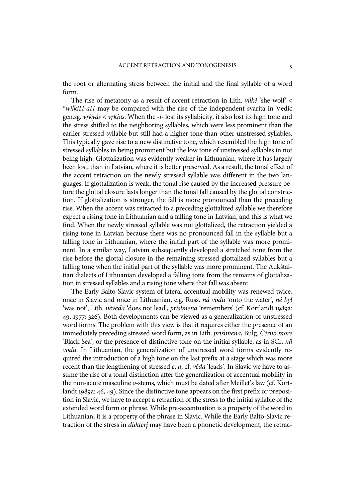the root or alternating stress between the initial and the final syllable of a word form.

The rise of metatony as a result of accent retraction in Lith. *vìlkė* 'she-wolf' < \**wilkiH-aH* may be compared with the rise of the independent svarita in Vedic gen.sg. *vṛkyàs* < *vṛkías*. When the *-i-* lost its syllabicity, it also lost its high tone and the stress shifted to the neighboring syllables, which were less prominent than the earlier stressed syllable but still had a higher tone than other unstressed syllables. This typically gave rise to a new distinctive tone, which resembled the high tone of stressed syllables in being prominent but the low tone of unstressed syllables in not being high. Glottalization was evidently weaker in Lithuanian, where it has largely been lost, than in Latvian, where it is better preserved. As a result, the tonal effect of the accent retraction on the newly stressed syllable was different in the two languages. If glottalization is weak, the tonal rise caused by the increased pressure before the glottal closure lasts longer than the tonal fall caused by the glottal constriction. If glottalization is stronger, the fall is more pronounced than the preceding rise. When the accent was retracted to a preceding glottalized syllable we therefore expect a rising tone in Lithuanian and a falling tone in Latvian, and this is what we find. When the newly stressed syllable was not glottalized, the retraction yielded a rising tone in Latvian because there was no pronounced fall in the syllable but a falling tone in Lithuanian, where the initial part of the syllable was more prominent. In a similar way, Latvian subsequently developed a stretched tone from the rise before the glottal closure in the remaining stressed glottalized syllables but a falling tone when the initial part of the syllable was more prominent. The Aukštaitian dialects of Lithuanian developed a falling tone from the remains of glottalization in stressed syllables and a rising tone where that fall was absent.

The Early Balto-Slavic system of lateral accentual mobility was renewed twice, once in Slavic and once in Lithuanian, e.g. Russ. *ná vodu* 'onto the water', *né byl* 'was not', Lith. *nèveda* 'does not lead', *prisìmena* 'remembers' (cf. Kortlandt 1989a: 49, 1977: 326). Both developments can be viewed as a generalization of unstressed word forms. The problem with this view is that it requires either the presence of an immediately preceding stressed word form, as in Lith. *prisìmena*, Bulg. *Čérno more* 'Black Sea', or the presence of distinctive tone on the initial syllable, as in SCr. *nȁ vodu*. In Lithuanian, the generalization of unstressed word forms evidently required the introduction of a high tone on the last prefix at a stage which was more recent than the lengthening of stressed *e*, *a*, cf. *vẽda* 'leads'. In Slavic we have to assume the rise of a tonal distinction after the generalization of accentual mobility in the non-acute masculine *o-*stems, which must be dated after Meillet's law (cf. Kortlandt 1989a: 46, 49). Since the distinctive tone appears on the first prefix or preposition in Slavic, we have to accept a retraction of the stress to the initial syllable of the extended word form or phrase. While pre-accentuation is a property of the word in Lithuanian, it is a property of the phrase in Slavic. While the Early Balto-Slavic retraction of the stress in *dùkterį* may have been a phonetic development, the retrac-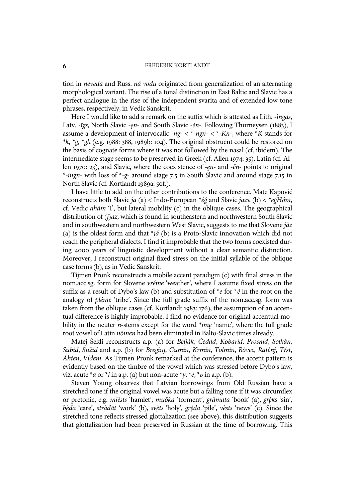tion in *nèveda* and Russ. *ná vodu* originated from generalization of an alternating morphological variant. The rise of a tonal distinction in East Baltic and Slavic has a perfect analogue in the rise of the independent svarita and of extended low tone phrases, respectively, in Vedic Sanskrit.

Here I would like to add a remark on the suffix which is attested as Lith. *-ìngas*, Latv. *-îgs*, North Slavic *-ęn-* and South Slavic *-ěn-*. Following Thurneysen (1883), I assume a development of intervocalic *-ng-* < \**-ngn-* < \**-Kn-*, where \**K* stands for \**k*, \**g*, \**gh* (e.g. 1988: 388, 1989b: 104). The original obstruent could be restored on the basis of cognate forms where it was not followed by the nasal (cf. ibidem). The intermediate stage seems to be preserved in Greek (cf. Allen 1974: 35), Latin (cf. Allen 1970: 23), and Slavic, where the coexistence of *-ęn-* and *-ěn-* points to original \**-ingn-* with loss of \**-g-* around stage 7.5 in South Slavic and around stage 7.15 in North Slavic (cf. Kortlandt 1989a: 50f.).

I have little to add on the other contributions to the conference. Mate Kapović reconstructs both Slavic *ja* (a) < Indo-European \**éǵ* and Slavic *jazъ* (b) < **\****eǵHóm*, cf. Vedic *ahám* 'I', but lateral mobility (c) in the oblique cases. The geographical distribution of *(j)az*, which is found in southeastern and northwestern South Slavic and in southwestern and northwestern West Slavic, suggests to me that Slovene *jàz* (a) is the oldest form and that \**já* (b) is a Proto-Slavic innovation which did not reach the peripheral dialects. I find it improbable that the two forms coexisted during 4000 years of linguistic development without a clear semantic distinction. Moreover, I reconstruct original fixed stress on the initial syllable of the oblique case forms (b), as in Vedic Sanskrit.

Tijmen Pronk reconstructs a mobile accent paradigm (c) with final stress in the nom.acc.sg. form for Slovene *vréme* 'weather', where I assume fixed stress on the suffix as a result of Dybo's law (b) and substitution of \**e* for \**ě* in the root on the analogy of *pléme* 'tribe'. Since the full grade suffix of the nom.acc.sg. form was taken from the oblique cases (cf. Kortlandt 1983: 176), the assumption of an accentual difference is highly improbable. I find no evidence for original accentual mobility in the neuter *n-*stems except for the word \**imę* 'name', where the full grade root vowel of Latin *nōmen* had been eliminated in Balto-Slavic times already.

Matej Šekli reconstructs a.p. (a) for *Beljàk*, *Čedàd*, *Kobaríd*, *Prosníd*, *Solkàn*, *Subíd*, *Sužíd* and a.p. (b) for *Bregínj*, *Gumín*, *Krmín*, *Tolmín*, *Bóvec*, *Ratènj*, *Tŕst*, *Áhten*, *Vídem*. As Tijmen Pronk remarked at the conference, the accent pattern is evidently based on the timbre of the vowel which was stressed before Dybo's law, viz. acute  $* a$  or  $* i$  in a.p. (a) but non-acute  $* y, * e, * b$  in a.p. (b).

Steven Young observes that Latvian borrowings from Old Russian have a stretched tone if the original vowel was acute but a falling tone if it was circumflex or pretonic, e.g. *miẽsts* 'hamlet', *muõka* 'torment', *grãmata* 'book' (a), *grȩ̀ks* 'sin', *bȩ̀da* 'care', *stràdât* 'work' (b), *svȩ̀ts* 'holy', *grȩ̀da* 'pile', *vèsts* 'news' (c). Since the stretched tone reflects stressed glottalization (see above), this distribution suggests that glottalization had been preserved in Russian at the time of borrowing. This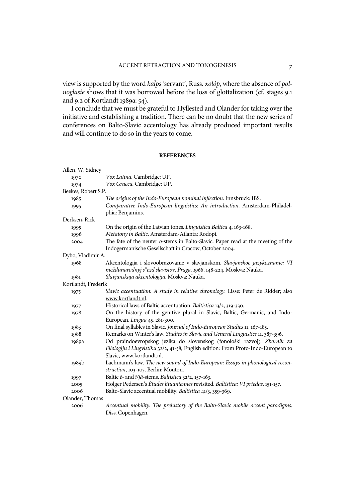view is supported by the word *kal̃ps* 'servant', Russ. *xolóp*, where the absence of *polnoglasie* shows that it was borrowed before the loss of glottalization (cf. stages 9.1) and 9.2 of Kortlandt 1989a: 54).

I conclude that we must be grateful to Hyllested and Olander for taking over the initiative and establishing a tradition. There can be no doubt that the new series of conferences on Balto-Slavic accentology has already produced important results and will continue to do so in the years to come.

#### **REFERENCES**

| Allen, W. Sidney    |                                                                                    |
|---------------------|------------------------------------------------------------------------------------|
| 1970                | Vox Latina. Cambridge: UP.                                                         |
| 1974                | Vox Graeca. Cambridge: UP.                                                         |
| Beekes, Robert S.P. |                                                                                    |
| 1985                | The origins of the Indo-European nominal inflection. Innsbruck: IBS.               |
| 1995                | Comparative Indo-European linguistics: An introduction. Amsterdam-Philadel-        |
|                     | phia: Benjamins.                                                                   |
| Derksen, Rick       |                                                                                    |
| 1995                | On the origin of the Latvian tones. Linguistica Baltica 4, 163-168.                |
| 1996                | Metatony in Baltic. Amsterdam-Atlanta: Rodopi.                                     |
| 2004                | The fate of the neuter o-stems in Balto-Slavic. Paper read at the meeting of the   |
|                     | Indogermanische Gesellschaft in Cracow, October 2004.                              |
| Dybo, Vladimir A.   |                                                                                    |
| 1968                | Akcentologija i slovoobrazovanie v slavjanskom. Slavjanskoe jazykoznanie: VI       |
|                     | meždunarodnyj s"ezd slavistov, Praga, 1968, 148-224. Moskva: Nauka.                |
| 1981                | Slavjanskaja akcentologija. Moskva: Nauka.                                         |
| Kortlandt, Frederik |                                                                                    |
| 1975                | Slavic accentuation: A study in relative chronology. Lisse: Peter de Ridder; also  |
|                     | www.kortlandt.nl.                                                                  |
| 1977                | Historical laws of Baltic accentuation. Baltistica 13/2, 319-330.                  |
| 1978                | On the history of the genitive plural in Slavic, Baltic, Germanic, and Indo-       |
|                     | European. Lingua 45, 281-300.                                                      |
| 1983                | On final syllables in Slavic. Journal of Indo-European Studies 11, 167-185.        |
| 1988                | Remarks on Winter's law. Studies in Slavic and General Linguistics 11, 387-396.    |
| 1989a               | Od praindoevropskog jezika do slovenskog (fonološki razvoj). Zbornik za            |
|                     | Filologiju i Lingvistiku 32/2, 41-58; English edition: From Proto-Indo-European to |
|                     | Slavic, www.kortlandt.nl.                                                          |
| 1989b               | Lachmann's law. The new sound of Indo-European: Essays in phonological recon-      |
|                     | struction, 103-105. Berlin: Mouton.                                                |
| 1997                | Baltic ē- and ī/jā-stems. Baltistica 32/2, 157-163.                                |
| 2005                | Holger Pedersen's Études lituaniennes revisited. Baltistica: VI priedas, 151-157.  |
| 2006                | Balto-Slavic accentual mobility. Baltistica 41/3, 359-369.                         |
| Olander, Thomas     |                                                                                    |
| 2006                | Accentual mobility: The prehistory of the Balto-Slavic mobile accent paradigms.    |
|                     | Diss. Copenhagen.                                                                  |